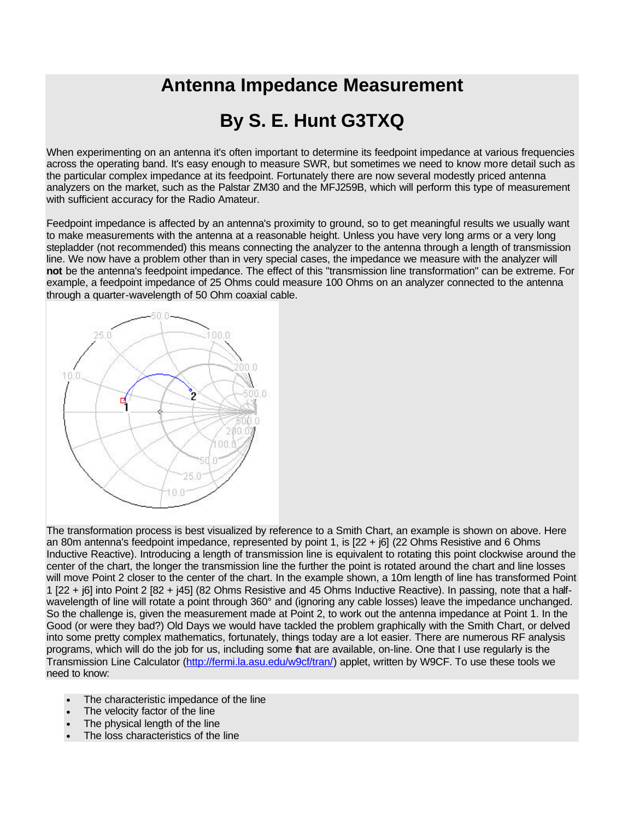## **Antenna Impedance Measurement**

## **By S. E. Hunt G3TXQ**

When experimenting on an antenna it's often important to determine its feedpoint impedance at various frequencies across the operating band. It's easy enough to measure SWR, but sometimes we need to know more detail such as the particular complex impedance at its feedpoint. Fortunately there are now several modestly priced antenna analyzers on the market, such as the Palstar ZM30 and the MFJ259B, which will perform this type of measurement with sufficient accuracy for the Radio Amateur.

Feedpoint impedance is affected by an antenna's proximity to ground, so to get meaningful results we usually want to make measurements with the antenna at a reasonable height. Unless you have very long arms or a very long stepladder (not recommended) this means connecting the analyzer to the antenna through a length of transmission line. We now have a problem other than in very special cases, the impedance we measure with the analyzer will **not** be the antenna's feedpoint impedance. The effect of this "transmission line transformation" can be extreme. For example, a feedpoint impedance of 25 Ohms could measure 100 Ohms on an analyzer connected to the antenna through a quarter-wavelength of 50 Ohm coaxial cable.



The transformation process is best visualized by reference to a Smith Chart, an example is shown on above. Here an 80m antenna's feedpoint impedance, represented by point 1, is [22 + j6] (22 Ohms Resistive and 6 Ohms Inductive Reactive). Introducing a length of transmission line is equivalent to rotating this point clockwise around the center of the chart, the longer the transmission line the further the point is rotated around the chart and line losses will move Point 2 closer to the center of the chart. In the example shown, a 10m length of line has transformed Point 1 [22 + j6] into Point 2 [82 + j45] (82 Ohms Resistive and 45 Ohms Inductive Reactive). In passing, note that a halfwavelength of line will rotate a point through 360° and (ignoring any cable losses) leave the impedance unchanged. So the challenge is, given the measurement made at Point 2, to work out the antenna impedance at Point 1. In the Good (or were they bad?) Old Days we would have tackled the problem graphically with the Smith Chart, or delved into some pretty complex mathematics, fortunately, things today are a lot easier. There are numerous RF analysis programs, which will do the job for us, including some that are available, on-line. One that I use regularly is the Transmission Line Calculator (http://fermi.la.asu.edu/w9cf/tran/) applet, written by W9CF. To use these tools we need to know:

- The characteristic impedance of the line
- The velocity factor of the line
- The physical length of the line
- The loss characteristics of the line